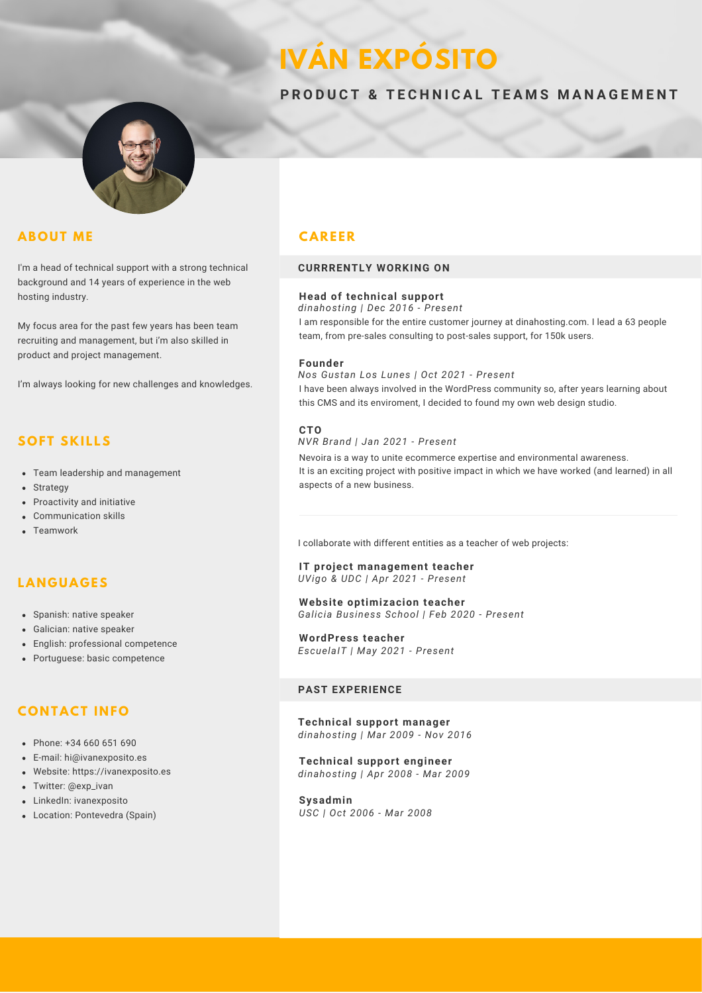# **IVÁN EXPÓSITO**

## **PRODUCT & TECHNICAL TEAMS MANAGEMENT**



## **AB O U T ME**

I'm a head of technical support with a strong technical background and 14 years of experience in the web hosting industry.

My focus area for the past few years has been team recruiting and management, but i'm also skilled in product and project management.

I'm always looking for new challenges and knowledges.

# **S O F T SKI L LS**

- Team leadership and management
- Strategy
- Proactivity and initiative
- Communication skills
- Teamwork

# **LA N G UA G ES**

- Spanish: native speaker
- Galician: native speaker
- English: professional competence
- Portuguese: basic competence

# **C O N TACT I N F O**

- Phone: +34 660 651 690
- E-mail: hi@ivanexposito.es
- Website: https://ivanexposito.es
- Twitter: @exp\_ivan
- LinkedIn: ivanexposito
- Location: Pontevedra (Spain)

# **CAR E E R**

#### **CURRRENTLY WORKING ON**

#### **Head of technical support**

*dinahosting | Dec 2016 - Present*

I am responsible for the entire customer journey at dinahosting.com. I lead a 63 people team, from pre-sales consulting to post-sales support, for 150k users.

#### **Founder**

*Nos Gustan Los Lunes | Oct 2021 - Present* I have been always involved in the WordPress community so, after years learning about this CMS and its enviroment, I decided to found my own web design studio.

## **CTO**

#### *NVR Brand | Jan 2021 - Present*

Nevoira is a way to unite ecommerce expertise and environmental awareness. It is an exciting project with positive impact in which we have worked (and learned) in all aspects of a new business.

I collaborate with different entities as a teacher of web projects:

**IT project management teacher** *UVigo & UDC | Apr 2021 - Present*

**Website optimizacion teacher** *Galicia Business School | Feb 2020 - Present*

**WordPress teacher** *EscuelaIT | May 2021 - Present*

## **PAST EXPERIENCE**

**Technical support manager** *dinahosting | Mar 2009 - Nov 2016*

**Technical support engineer** *dinahosting | Apr 2008 - Mar 2009*

**Sysadmin** *USC | Oct 2006 - Mar 2008*